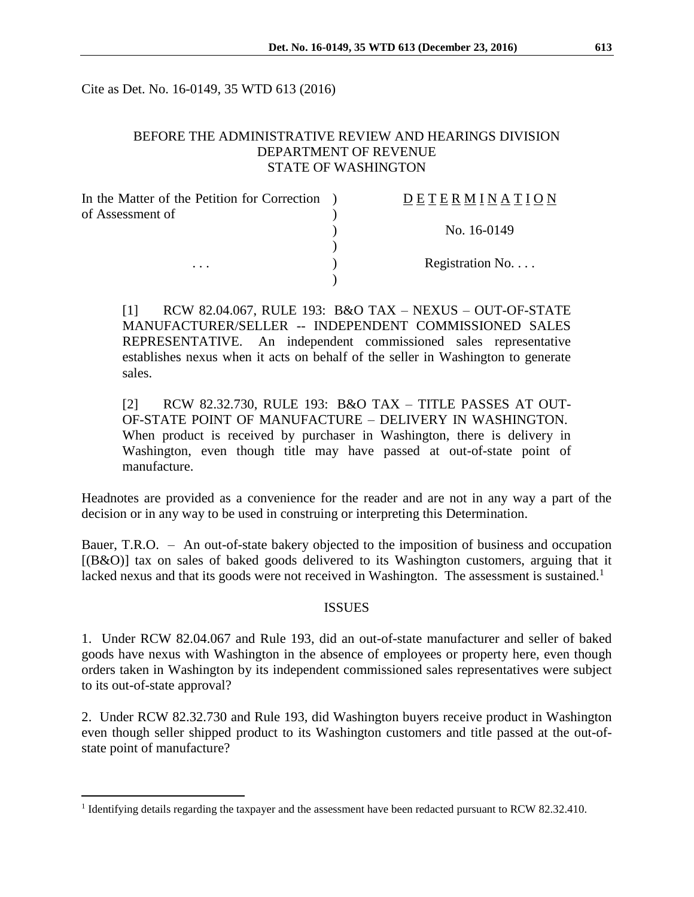Cite as Det. No. 16-0149, 35 WTD 613 (2016)

#### BEFORE THE ADMINISTRATIVE REVIEW AND HEARINGS DIVISION DEPARTMENT OF REVENUE STATE OF WASHINGTON

| In the Matter of the Petition for Correction | <b>DETERMINATION</b>     |
|----------------------------------------------|--------------------------|
| of Assessment of                             |                          |
|                                              | No. 16-0149              |
|                                              |                          |
| $\cdots$                                     | Registration No. $\dots$ |
|                                              |                          |

[1] RCW 82.04.067, RULE 193: B&O TAX – NEXUS – OUT-OF-STATE MANUFACTURER/SELLER -- INDEPENDENT COMMISSIONED SALES REPRESENTATIVE. An independent commissioned sales representative establishes nexus when it acts on behalf of the seller in Washington to generate sales.

[2] RCW 82.32.730, RULE 193: B&O TAX – TITLE PASSES AT OUT-OF-STATE POINT OF MANUFACTURE – DELIVERY IN WASHINGTON. When product is received by purchaser in Washington, there is delivery in Washington, even though title may have passed at out-of-state point of manufacture.

Headnotes are provided as a convenience for the reader and are not in any way a part of the decision or in any way to be used in construing or interpreting this Determination.

Bauer, T.R.O. – An out-of-state bakery objected to the imposition of business and occupation [(B&O)] tax on sales of baked goods delivered to its Washington customers, arguing that it lacked nexus and that its goods were not received in Washington. The assessment is sustained.<sup>1</sup>

#### **ISSUES**

1. Under RCW 82.04.067 and Rule 193, did an out-of-state manufacturer and seller of baked goods have nexus with Washington in the absence of employees or property here, even though orders taken in Washington by its independent commissioned sales representatives were subject to its out-of-state approval?

2. Under RCW 82.32.730 and Rule 193, did Washington buyers receive product in Washington even though seller shipped product to its Washington customers and title passed at the out-ofstate point of manufacture?

 $\overline{a}$ 

<sup>&</sup>lt;sup>1</sup> Identifying details regarding the taxpayer and the assessment have been redacted pursuant to RCW 82.32.410.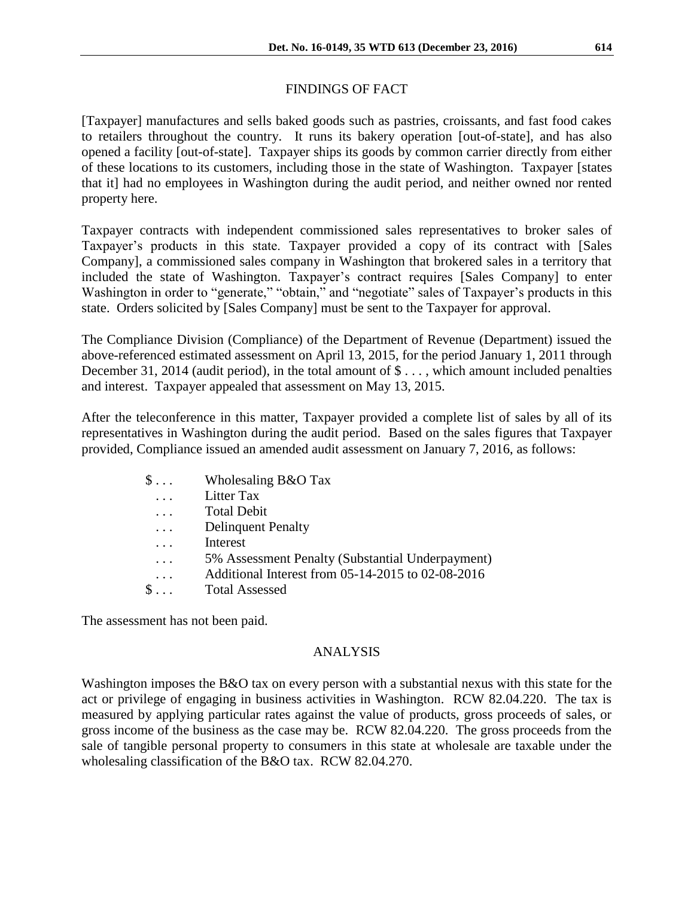### FINDINGS OF FACT

[Taxpayer] manufactures and sells baked goods such as pastries, croissants, and fast food cakes to retailers throughout the country. It runs its bakery operation [out-of-state], and has also opened a facility [out-of-state]. Taxpayer ships its goods by common carrier directly from either of these locations to its customers, including those in the state of Washington. Taxpayer [states that it] had no employees in Washington during the audit period, and neither owned nor rented property here.

Taxpayer contracts with independent commissioned sales representatives to broker sales of Taxpayer's products in this state. Taxpayer provided a copy of its contract with [Sales Company], a commissioned sales company in Washington that brokered sales in a territory that included the state of Washington. Taxpayer's contract requires [Sales Company] to enter Washington in order to "generate," "obtain," and "negotiate" sales of Taxpayer's products in this state. Orders solicited by [Sales Company] must be sent to the Taxpayer for approval.

The Compliance Division (Compliance) of the Department of Revenue (Department) issued the above-referenced estimated assessment on April 13, 2015, for the period January 1, 2011 through December 31, 2014 (audit period), in the total amount of \$..., which amount included penalties and interest. Taxpayer appealed that assessment on May 13, 2015.

After the teleconference in this matter, Taxpayer provided a complete list of sales by all of its representatives in Washington during the audit period. Based on the sales figures that Taxpayer provided, Compliance issued an amended audit assessment on January 7, 2016, as follows:

| $\$\ldots$   | Wholesaling B&O Tax                               |
|--------------|---------------------------------------------------|
| $\cdots$     | Litter Tax                                        |
| $\cdots$     | <b>Total Debit</b>                                |
| $\cdots$     | <b>Delinquent Penalty</b>                         |
|              | Interest                                          |
| $\cdots$     | 5% Assessment Penalty (Substantial Underpayment)  |
| $\cdot$      | Additional Interest from 05-14-2015 to 02-08-2016 |
| $\mathbb{S}$ | <b>Total Assessed</b>                             |

The assessment has not been paid.

#### ANALYSIS

Washington imposes the B&O tax on every person with a substantial nexus with this state for the act or privilege of engaging in business activities in Washington. RCW 82.04.220. The tax is measured by applying particular rates against the value of products, gross proceeds of sales, or gross income of the business as the case may be. RCW 82.04.220. The gross proceeds from the sale of tangible personal property to consumers in this state at wholesale are taxable under the wholesaling classification of the B&O tax. RCW 82.04.270.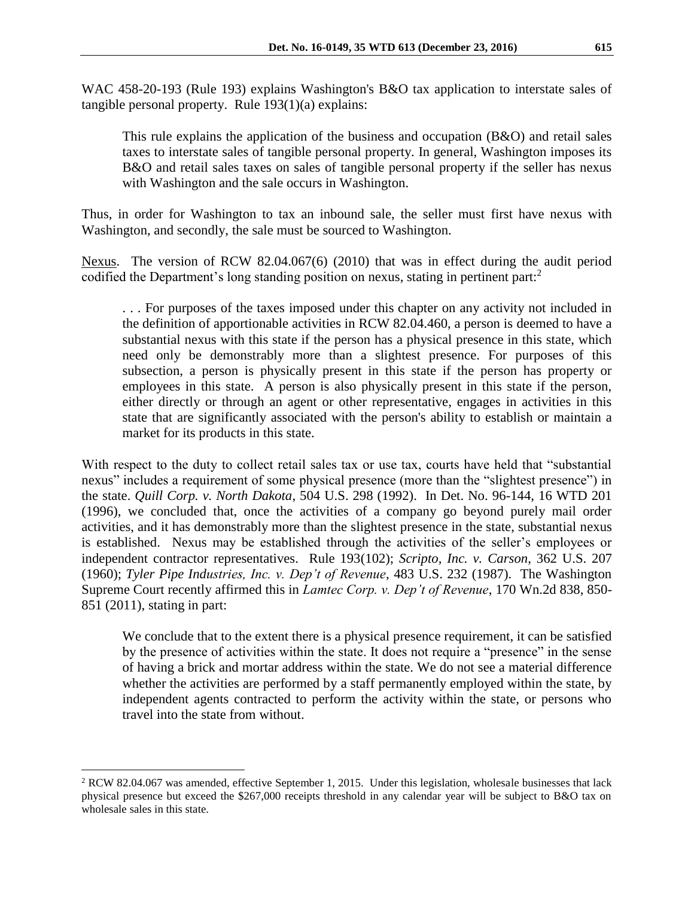WAC 458-20-193 (Rule 193) explains Washington's B&O tax application to interstate sales of tangible personal property. Rule 193(1)(a) explains:

This rule explains the application of the business and occupation  $(B&O)$  and retail sales taxes to interstate sales of tangible personal property. In general, Washington imposes its B&O and retail sales taxes on sales of tangible personal property if the seller has nexus with Washington and the sale occurs in Washington.

Thus, in order for Washington to tax an inbound sale, the seller must first have nexus with Washington, and secondly, the sale must be sourced to Washington.

Nexus. The version of RCW 82.04.067(6) (2010) that was in effect during the audit period codified the Department's long standing position on nexus, stating in pertinent part:<sup>2</sup>

. . . For purposes of the taxes imposed under this chapter on any activity not included in the definition of apportionable activities in RCW 82.04.460, a person is deemed to have a substantial nexus with this state if the person has a physical presence in this state, which need only be demonstrably more than a slightest presence. For purposes of this subsection, a person is physically present in this state if the person has property or employees in this state. A person is also physically present in this state if the person, either directly or through an agent or other representative, engages in activities in this state that are significantly associated with the person's ability to establish or maintain a market for its products in this state.

With respect to the duty to collect retail sales tax or use tax, courts have held that "substantial" nexus" includes a requirement of some physical presence (more than the "slightest presence") in the state. *Quill Corp. v. North Dakota*, 504 U.S. 298 (1992). In Det. No. 96-144, 16 WTD 201 (1996), we concluded that, once the activities of a company go beyond purely mail order activities, and it has demonstrably more than the slightest presence in the state, substantial nexus is established. Nexus may be established through the activities of the seller's employees or independent contractor representatives. Rule 193(102); *Scripto, Inc. v. Carson*, 362 U.S. 207 (1960); *Tyler Pipe Industries, Inc. v. Dep't of Revenue*, 483 U.S. 232 (1987). The Washington Supreme Court recently affirmed this in *Lamtec Corp. v. Dep't of Revenue*, 170 Wn.2d 838, 850- 851 (2011), stating in part:

We conclude that to the extent there is a physical presence requirement, it can be satisfied by the presence of activities within the state. It does not require a "presence" in the sense of having a brick and mortar address within the state. We do not see a material difference whether the activities are performed by a staff permanently employed within the state, by independent agents contracted to perform the activity within the state, or persons who travel into the state from without.

 $\overline{a}$ 

<sup>&</sup>lt;sup>2</sup> RCW 82.04.067 was amended, effective September 1, 2015. Under this legislation, wholesale businesses that lack physical presence but exceed the \$267,000 receipts threshold in any calendar year will be subject to B&O tax on wholesale sales in this state.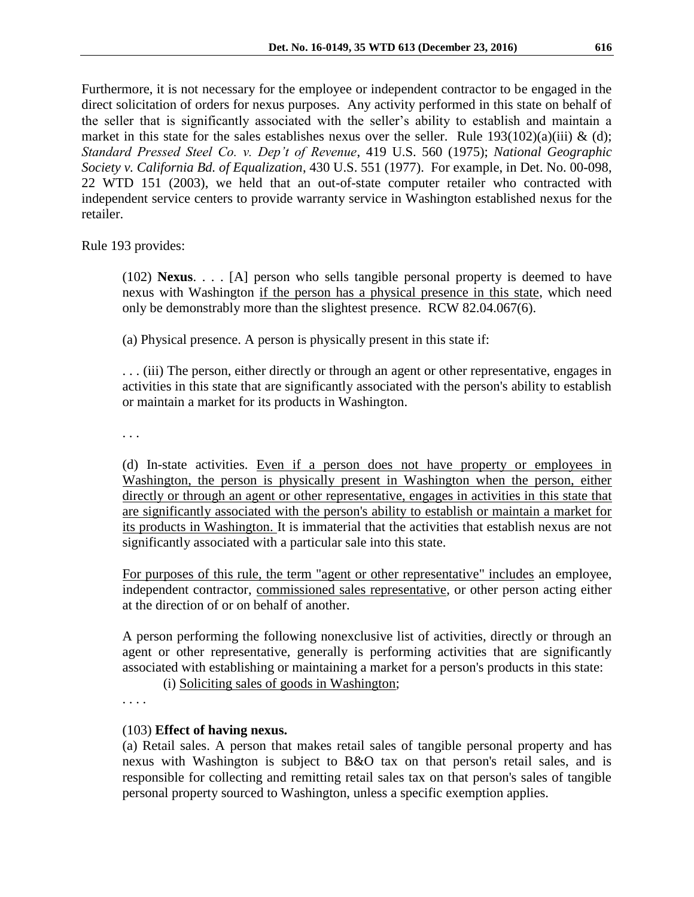Furthermore, it is not necessary for the employee or independent contractor to be engaged in the direct solicitation of orders for nexus purposes. Any activity performed in this state on behalf of the seller that is significantly associated with the seller's ability to establish and maintain a market in this state for the sales establishes nexus over the seller. Rule  $193(102)(a)(iii) \& (d);$ *Standard Pressed Steel Co. v. Dep't of Revenue*, 419 U.S. 560 (1975); *National Geographic Society v. California Bd. of Equalization*, 430 U.S. 551 (1977). For example, in Det. No. 00-098, 22 WTD 151 (2003), we held that an out-of-state computer retailer who contracted with independent service centers to provide warranty service in Washington established nexus for the retailer.

Rule 193 provides:

(102) **Nexus**. . . . [A] person who sells tangible personal property is deemed to have nexus with Washington if the person has a physical presence in this state, which need only be demonstrably more than the slightest presence. RCW 82.04.067(6).

(a) Physical presence. A person is physically present in this state if:

. . . (iii) The person, either directly or through an agent or other representative, engages in activities in this state that are significantly associated with the person's ability to establish or maintain a market for its products in Washington.

. . .

(d) In-state activities. Even if a person does not have property or employees in Washington, the person is physically present in Washington when the person, either directly or through an agent or other representative, engages in activities in this state that are significantly associated with the person's ability to establish or maintain a market for its products in Washington. It is immaterial that the activities that establish nexus are not significantly associated with a particular sale into this state.

For purposes of this rule, the term "agent or other representative" includes an employee, independent contractor, commissioned sales representative, or other person acting either at the direction of or on behalf of another.

A person performing the following nonexclusive list of activities, directly or through an agent or other representative, generally is performing activities that are significantly associated with establishing or maintaining a market for a person's products in this state:

(i) Soliciting sales of goods in Washington;

. . . .

# (103) **Effect of having nexus.**

(a) Retail sales. A person that makes retail sales of tangible personal property and has nexus with Washington is subject to B&O tax on that person's retail sales, and is responsible for collecting and remitting retail sales tax on that person's sales of tangible personal property sourced to Washington, unless a specific exemption applies.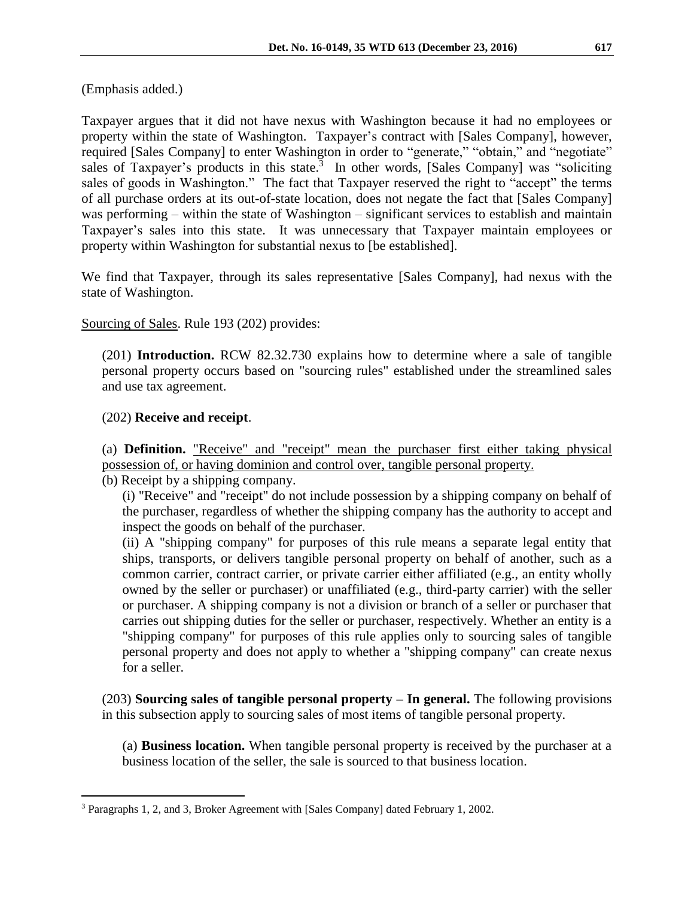(Emphasis added.)

Taxpayer argues that it did not have nexus with Washington because it had no employees or property within the state of Washington. Taxpayer's contract with [Sales Company], however, required [Sales Company] to enter Washington in order to "generate," "obtain," and "negotiate" sales of Taxpayer's products in this state. $3$  In other words, [Sales Company] was "soliciting sales of goods in Washington." The fact that Taxpayer reserved the right to "accept" the terms of all purchase orders at its out-of-state location, does not negate the fact that [Sales Company] was performing – within the state of Washington – significant services to establish and maintain Taxpayer's sales into this state. It was unnecessary that Taxpayer maintain employees or property within Washington for substantial nexus to [be established].

We find that Taxpayer, through its sales representative [Sales Company], had nexus with the state of Washington.

Sourcing of Sales. Rule 193 (202) provides:

(201) **Introduction.** RCW [82.32.730](http://app.leg.wa.gov/RCW/default.aspx?cite=82.32.730) explains how to determine where a sale of tangible personal property occurs based on "sourcing rules" established under the streamlined sales and use tax agreement.

### (202) **Receive and receipt**.

 $\overline{a}$ 

(a) **Definition.** "Receive" and "receipt" mean the purchaser first either taking physical possession of, or having dominion and control over, tangible personal property.

(b) Receipt by a shipping company.

(i) "Receive" and "receipt" do not include possession by a shipping company on behalf of the purchaser, regardless of whether the shipping company has the authority to accept and inspect the goods on behalf of the purchaser.

(ii) A "shipping company" for purposes of this rule means a separate legal entity that ships, transports, or delivers tangible personal property on behalf of another, such as a common carrier, contract carrier, or private carrier either affiliated (e.g., an entity wholly owned by the seller or purchaser) or unaffiliated (e.g., third-party carrier) with the seller or purchaser. A shipping company is not a division or branch of a seller or purchaser that carries out shipping duties for the seller or purchaser, respectively. Whether an entity is a "shipping company" for purposes of this rule applies only to sourcing sales of tangible personal property and does not apply to whether a "shipping company" can create nexus for a seller.

(203) **Sourcing sales of tangible personal property – In general.** The following provisions in this subsection apply to sourcing sales of most items of tangible personal property.

(a) **Business location.** When tangible personal property is received by the purchaser at a business location of the seller, the sale is sourced to that business location.

<sup>3</sup> Paragraphs 1, 2, and 3, Broker Agreement with [Sales Company] dated February 1, 2002.